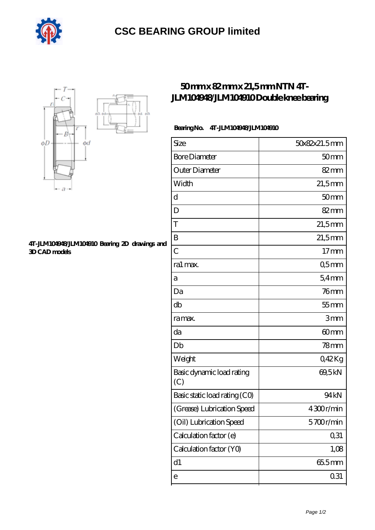

# **[CSC BEARING GROUP limited](https://m.augustinusga.com)**



#### **[4T-JLM104948/JLM104910 Bearing 2D drawings and](https://m.augustinusga.com/pic-65109260.html) [3D CAD models](https://m.augustinusga.com/pic-65109260.html)**

## **[50 mm x 82 mm x 21,5 mm NTN 4T-](https://m.augustinusga.com/ntn-4t-jlm104948-jlm104910-bearing/)[JLM104948/JLM104910 Double knee bearing](https://m.augustinusga.com/ntn-4t-jlm104948-jlm104910-bearing/)**

### **Bearing No. 4T-JLM104948/JLM104910**

| Size                             | 50x82x21.5mm     |
|----------------------------------|------------------|
| <b>Bore Diameter</b>             | 50 <sub>mm</sub> |
| Outer Diameter                   | $82 \text{mm}$   |
| Width                            | $21,5$ mm        |
| d                                | 50 <sub>mm</sub> |
| D                                | $82 \text{mm}$   |
| T                                | $21,5$ mm        |
| B                                | $21,5$ mm        |
| $\overline{C}$                   | 17 <sub>mm</sub> |
| ra1 max.                         | Q5mm             |
| а                                | 54mm             |
| Da                               | $76$ mm          |
| db                               | $55$ mm          |
| ra max.                          | 3mm              |
| da                               | 60mm             |
| Db                               | $78$ mm          |
| Weight                           | 042Kg            |
| Basic dynamic load rating<br>(C) | 69,5kN           |
| Basic static load rating (CO)    | 94 <sub>kN</sub> |
| (Grease) Lubrication Speed       | 4300r/min        |
| (Oil) Lubrication Speed          | 5700r/min        |
| Calculation factor (e)           | 0,31             |
| Calculation factor (YO)          | 1,08             |
| d1                               | 655mm            |
| e                                | 0.31             |